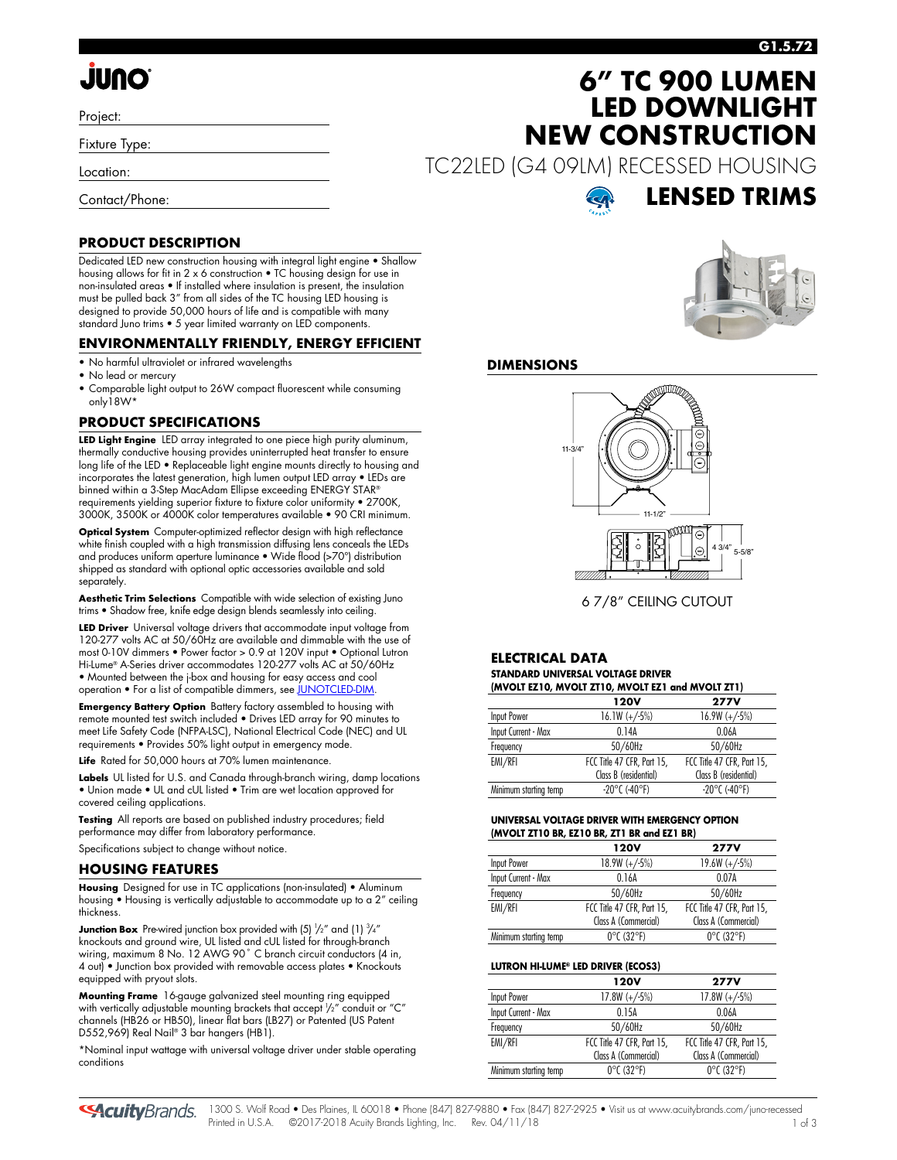# **JUNO**

Project:

Fixture Type:

Location:

Contact/Phone:

#### **PRODUCT DESCRIPTION**

Dedicated LED new construction housing with integral light engine • Shallow housing allows for fit in 2 x 6 construction • TC housing design for use in non-insulated areas • If installed where insulation is present, the insulation must be pulled back 3" from all sides of the TC housing LED housing is designed to provide 50,000 hours of life and is compatible with many standard Juno trims • 5 year limited warranty on LED components.

#### **ENVIRONMENTALLY FRIENDLY, ENERGY EFFICIENT**

- No harmful ultraviolet or infrared wavelengths
- No lead or mercury
- Comparable light output to 26W compact fluorescent while consuming only18W\*

#### **PRODUCT SPECIFICATIONS**

**LED Light Engine** LED array integrated to one piece high purity aluminum, thermally conductive housing provides uninterrupted heat transfer to ensure long life of the LED • Replaceable light engine mounts directly to housing and incorporates the latest generation, high lumen output LED array • LEDs are binned within a 3-Step MacAdam Ellipse exceeding ENERGY STAR® requirements yielding superior fixture to fixture color uniformity • 2700K, 3000K, 3500K or 4000K color temperatures available • 90 CRI minimum.

**Optical System** Computer-optimized reflector design with high reflectance white finish coupled with a high transmission diffusing lens conceals the LEDs and produces uniform aperture luminance • Wide flood (>70°) distribution shipped as standard with optional optic accessories available and sold separately.

**Aesthetic Trim Selections** Compatible with wide selection of existing Juno trims • Shadow free, knife edge design blends seamlessly into ceiling.

**LED Driver** Universal voltage drivers that accommodate input voltage from 120-277 volts AC at 50/60Hz are available and dimmable with the use of most 0-10V dimmers • Power factor > 0.9 at 120V input • Optional Lutron Hi-Lume® A-Series driver accommodates 120-277 volts AC at 50/60Hz • Mounted between the j-box and housing for easy access and cool operation • For a list of compatible dimmers, se[e JUNOTCLED-DIM.](http://www.acuitybrands.com/shell/-/media/Files/Acuity/Other/JUNOICLED-DIM.pdf)

**Emergency Battery Option** Battery factory assembled to housing with remote mounted test switch included • Drives LED array for 90 minutes to meet Life Safety Code (NFPA-LSC), National Electrical Code (NEC) and UL requirements • Provides 50% light output in emergency mode.

Life Rated for 50,000 hours at 70% lumen maintenance

**Labels** UL listed for U.S. and Canada through-branch wiring, damp locations • Union made • UL and cUL listed • Trim are wet location approved for covered ceiling applications.

**Testing** All reports are based on published industry procedures; field performance may differ from laboratory performance. Specifications subject to change without notice.

#### **HOUSING FEATURES**

**Housing** Designed for use in TC applications (non-insulated) • Aluminum housing • Housing is vertically adjustable to accommodate up to a 2" ceiling thickness.

**Junction Box** Pre-wired junction box provided with (5) 1/2" and (1) 3/4" knockouts and ground wire, UL listed and cUL listed for through-branch wiring, maximum 8 No. 12 AWG 90˚ C branch circuit conductors (4 in, 4 out) • Junction box provided with removable access plates • Knockouts equipped with pryout slots.

**Mounting Frame** 16-gauge galvanized steel mounting ring equipped with vertically adjustable mounting brackets that accept 1 /2" conduit or "C" channels (HB26 or HB50), linear flat bars (LB27) or Patented (US Patent D552,969) Real Nail® 3 bar hangers (HB1).

\*Nominal input wattage with universal voltage driver under stable operating conditions

## **6" TC 900 LUMEN LED DOWNLIGHT NEW CONSTRUCTION**

TC22LED (G4 09LM) RECESSED HOUSING





**LENSED TRIMS**

#### **DIMENSIONS**



6 7/8" CEILING CUTOUT

#### **ELECTRICAL DATA STANDARD UNIVERSAL VOLTAGE DRIVER (MVOLT EZ10, MVOLT ZT10, MVOLT EZ1 and MVOLT ZT1)**

|                       | $(III)$ with the state $(0, III)$ in the state of the state $(III)$ |                            |  |  |  |  |  |
|-----------------------|---------------------------------------------------------------------|----------------------------|--|--|--|--|--|
|                       | 120V                                                                | <b>277V</b>                |  |  |  |  |  |
| Input Power           | $16.1W (+/-5%)$                                                     | $16.9W (+/-5%)$            |  |  |  |  |  |
| Input Current - Max   | 0.14A                                                               | 0.06A                      |  |  |  |  |  |
| Frequency             | 50/60Hz                                                             | 50/60Hz                    |  |  |  |  |  |
| EMI/RFI               | FCC Title 47 CFR, Part 15,                                          | FCC Title 47 CFR, Part 15, |  |  |  |  |  |
|                       | Class B (residential)                                               | Class B (residential)      |  |  |  |  |  |
| Minimum starting temp | $-20^{\circ}$ C (-40°F)                                             | $-20^{\circ}$ C (-40°F)    |  |  |  |  |  |
|                       |                                                                     |                            |  |  |  |  |  |

#### **UNIVERSAL VOLTAGE DRIVER WITH EMERGENCY OPTION (MVOLT ZT10 BR, EZ10 BR, ZT1 BR and EZ1 BR)**

|                       | <b>120V</b>                     | <b>277V</b>                     |
|-----------------------|---------------------------------|---------------------------------|
| Input Power           | $18.9W (+/-5%)$                 | $19.6W (+/-5%)$                 |
| Input Current - Max   | 0.16A                           | 0.07A                           |
| Frequency             | 50/60Hz                         | 50/60Hz                         |
| EMI/RFI               | FCC Title 47 CFR, Part 15,      | FCC Title 47 CFR, Part 15,      |
|                       | Class A (Commercial)            | Class A (Commercial)            |
| Minimum starting temp | $0^{\circ}$ C (32 $^{\circ}$ F) | $0^{\circ}$ C (32 $^{\circ}$ F) |

#### **LUTRON HI-LUME® LED DRIVER (ECOS3)**

|                       | 120V                            | <b>277V</b>                     |
|-----------------------|---------------------------------|---------------------------------|
| Input Power           | $17.8W (+/-5%)$                 | $17.8W (+/-5%)$                 |
| Input Current - Max   | 0.15A                           | 0.06A                           |
| Frequency             | 50/60Hz                         | 50/60Hz                         |
| EMI/RFI               | FCC Title 47 CFR, Part 15,      | FCC Title 47 CFR, Part 15,      |
|                       | Class A (Commercial)            | Class A (Commercial)            |
| Minimum starting temp | $0^{\circ}$ C (32 $^{\circ}$ F) | $0^{\circ}$ C (32 $^{\circ}$ F) |

### **G1.5.72**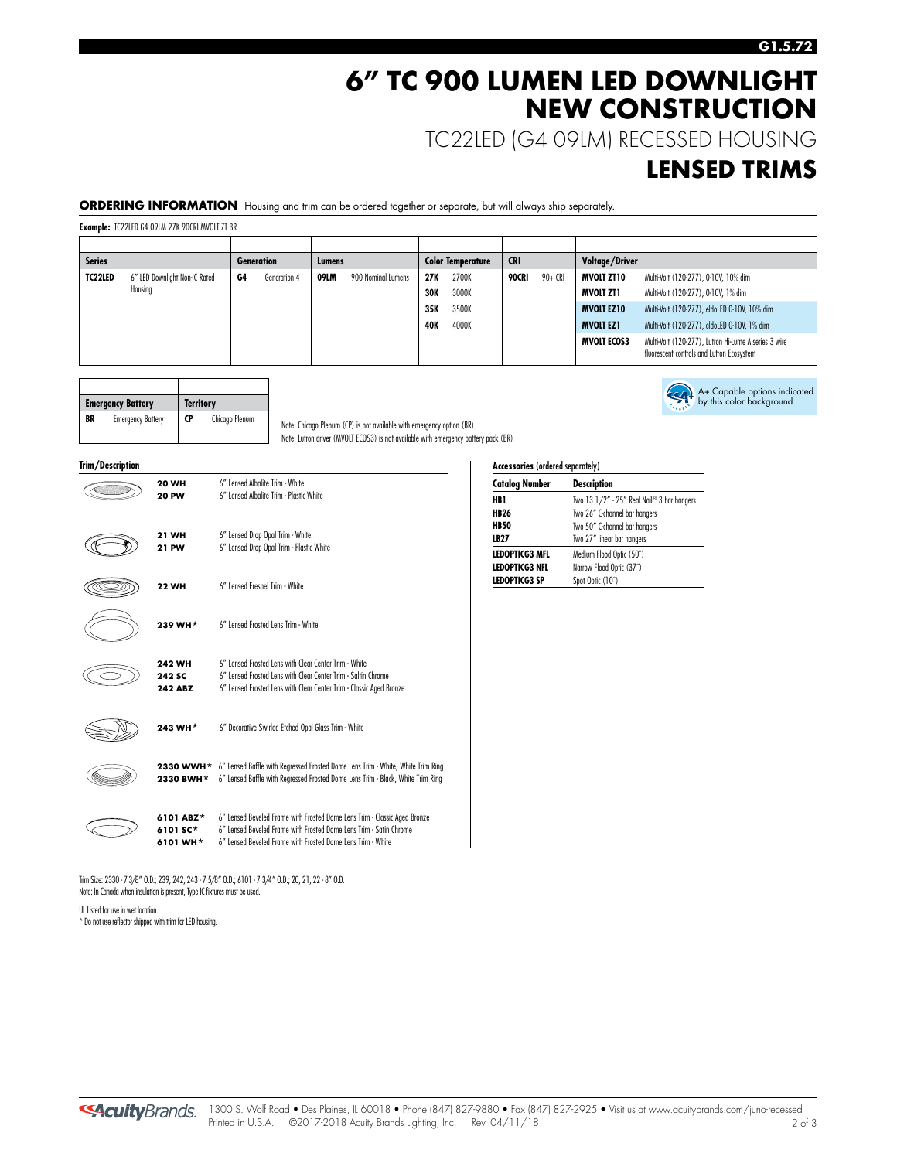## **6" TC 900 LUMEN LED DOWNLIGHT NEW CONSTRUCTION**

TC22LED (G4 09LM) RECESSED HOUSING

### **LENSED TRIMS**

A+ Capable options indicated by this color background

#### **ORDERING INFORMATION** Housing and trim can be ordered together or separate, but will always ship separately.

**Example:** TC22LED G4 09LM 27K 90CRI MVOLT ZT BR

| <b>Series</b><br>Generation |                               | Lumens |              | <b>Color Temperature</b> |                    | <b>CRI</b> |       | <b>Voltage/Driver</b> |         |                    |                                                                                                   |
|-----------------------------|-------------------------------|--------|--------------|--------------------------|--------------------|------------|-------|-----------------------|---------|--------------------|---------------------------------------------------------------------------------------------------|
| TC22LED                     | 6" LED Downlight Non-IC Rated | G4     | Generation 4 | 09LM                     | 900 Nominal Lumens | 27K        | 2700K | 90CRI                 | 90+ CRI | MVOLT ZT10         | Multi-Volt (120-277), 0-10V, 10% dim                                                              |
|                             | Housing                       |        |              |                          |                    | 30K        | 3000K |                       |         | MVOLT ZTI          | Multi-Volt (120-277), 0-10V, 1% dim                                                               |
|                             |                               |        |              |                          |                    | 35K        | 3500K |                       |         | <b>MVOLT EZ10</b>  | Multi-Volt (120-277), eldoLED 0-10V, 10% dim                                                      |
|                             |                               |        |              |                          |                    | 40K        | 4000K |                       |         | <b>MVOLT EZ1</b>   | Multi-Volt (120-277), eldoLED 0-10V, 1% dim                                                       |
|                             |                               |        |              |                          |                    |            |       |                       |         | <b>MVOLT ECOS3</b> | Multi-Volt (120-277), Lutron Hi-Lume A series 3 wire<br>fluorescent controls and Lutron Ecosystem |

|    | <b>Emergency Battery</b> | <b>Territory</b> |                |  |  |
|----|--------------------------|------------------|----------------|--|--|
| BR | <b>Emergency Battery</b> | CP               | Chicago Plenum |  |  |

Note: Chicago Plenum (CP) is not available with emergency option (BR) Note: Lutron driver (MVOLT ECOS3) is not available with emergency battery pack (BR)

**Trim/Description** 

| <b>20 WH</b><br><b>20 PW</b>              | 6" Lensed Albalite Trim - White<br>6" Lensed Albalite Trim - Plastic White                                                                                                                    |
|-------------------------------------------|-----------------------------------------------------------------------------------------------------------------------------------------------------------------------------------------------|
| 21 WH<br><b>21 PW</b>                     | 6" Lensed Drop Opal Trim - White<br>6" Lensed Drop Opal Trim - Plastic White                                                                                                                  |
| <b>22 WH</b>                              | 6" Lensed Fresnel Trim - White                                                                                                                                                                |
| 239 WH*                                   | 6" Lensed Frosted Lens Trim - White                                                                                                                                                           |
| <b>242 WH</b><br>242 SC<br><b>242 ABZ</b> | 6" Lensed Frosted Lens with Clear Center Trim - White<br>6" Lensed Frosted Lens with Clear Center Trim - Saltin Chrome<br>6" Lensed Frosted Lens with Clear Center Trim - Classic Aged Bronze |
| 243 WH*                                   | 6" Decorative Swirled Etched Opal Glass Trim - White                                                                                                                                          |
| 2330 BWH*                                 | 2330 WWH* 6" Lensed Baffle with Regressed Frosted Dome Lens Trim - White, White Trim Ring<br>6" Lensed Baffle with Regressed Frosted Dome Lens Trim - Black, White Trim Ring                  |
| 6101 ABZ*<br>6101 SC*                     | 6" Lensed Beveled Frame with Frosted Dome Lens Trim - Classic Aged Bronze<br>6" Lensed Beveled Frame with Frosted Dome Lens Trim - Satin Chrome                                               |

**6101 WH**\* 6" Lensed Beveled Frame with Frosted Dome Lens Trim - White

Trim Size: 2330 - 73/8" O.D.; 239, 242, 243 - 7 5/8" O.D.; 6101 - 7 3/4" O.D.; 20, 21, 22 - 8" O.D. Note: In Canada when insulation is present, Type IC fixtures must be used.

UL Listed for use in wet location. \* Do not use reflector shipped with trim for LED housing.

| <b>Accessories (ordered separately)</b> |                                            |  |  |  |  |
|-----------------------------------------|--------------------------------------------|--|--|--|--|
| <b>Catalog Number</b>                   | <b>Description</b>                         |  |  |  |  |
| HB1                                     | Two 13 1/2" - 25" Real Nail® 3 bar hangers |  |  |  |  |
| <b>HB26</b>                             | Two 26" C-channel bar hangers              |  |  |  |  |
| <b>HB50</b>                             | Two 50" C-channel bar hangers              |  |  |  |  |
| LB27                                    | Two 27" linear bar hangers                 |  |  |  |  |
| <b>LEDOPTICG3 MFL</b>                   | Medium Flood Optic (50°)                   |  |  |  |  |
| <b>LEDOPTICG3 NFL</b>                   | Narrow Flood Optic (37°)                   |  |  |  |  |
| <b>LEDOPTICG3 SP</b>                    | Spot Optic (10°)                           |  |  |  |  |